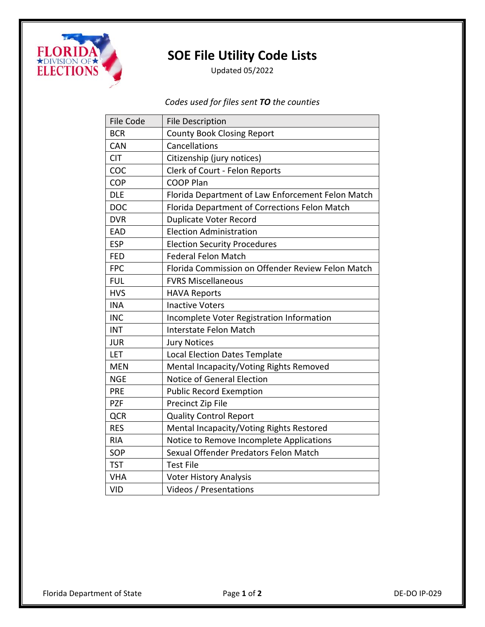

## **SOE File Utility Code Lists**

Updated 05/2022

*Codes used for files sent TO the counties*

| <b>File Code</b> | <b>File Description</b>                           |
|------------------|---------------------------------------------------|
| <b>BCR</b>       | <b>County Book Closing Report</b>                 |
| CAN              | Cancellations                                     |
| <b>CIT</b>       | Citizenship (jury notices)                        |
| COC              | Clerk of Court - Felon Reports                    |
| COP              | <b>COOP Plan</b>                                  |
| <b>DLE</b>       | Florida Department of Law Enforcement Felon Match |
| <b>DOC</b>       | Florida Department of Corrections Felon Match     |
| <b>DVR</b>       | <b>Duplicate Voter Record</b>                     |
| EAD              | <b>Election Administration</b>                    |
| <b>ESP</b>       | <b>Election Security Procedures</b>               |
| <b>FED</b>       | <b>Federal Felon Match</b>                        |
| <b>FPC</b>       | Florida Commission on Offender Review Felon Match |
| <b>FUL</b>       | <b>FVRS Miscellaneous</b>                         |
| <b>HVS</b>       | <b>HAVA Reports</b>                               |
| <b>INA</b>       | <b>Inactive Voters</b>                            |
| <b>INC</b>       | Incomplete Voter Registration Information         |
| <b>INT</b>       | Interstate Felon Match                            |
| <b>JUR</b>       | <b>Jury Notices</b>                               |
| LET              | <b>Local Election Dates Template</b>              |
| <b>MEN</b>       | Mental Incapacity/Voting Rights Removed           |
| <b>NGE</b>       | <b>Notice of General Election</b>                 |
| <b>PRE</b>       | <b>Public Record Exemption</b>                    |
| <b>PZF</b>       | Precinct Zip File                                 |
| <b>QCR</b>       | <b>Quality Control Report</b>                     |
| <b>RES</b>       | Mental Incapacity/Voting Rights Restored          |
| <b>RIA</b>       | Notice to Remove Incomplete Applications          |
| SOP              | Sexual Offender Predators Felon Match             |
| <b>TST</b>       | <b>Test File</b>                                  |
| <b>VHA</b>       | <b>Voter History Analysis</b>                     |
| <b>VID</b>       | Videos / Presentations                            |